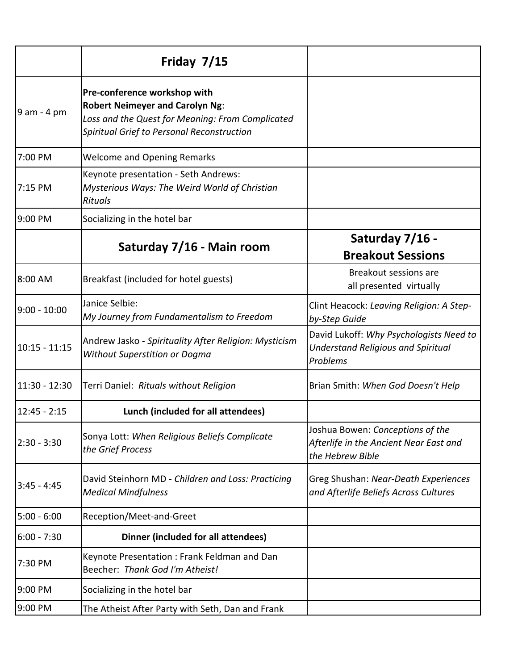|               | Friday 7/15                                                                                                                                                              |                                                                                                  |
|---------------|--------------------------------------------------------------------------------------------------------------------------------------------------------------------------|--------------------------------------------------------------------------------------------------|
| $9$ am - 4 pm | Pre-conference workshop with<br><b>Robert Neimeyer and Carolyn Ng:</b><br>Loss and the Quest for Meaning: From Complicated<br>Spiritual Grief to Personal Reconstruction |                                                                                                  |
| 7:00 PM       | <b>Welcome and Opening Remarks</b>                                                                                                                                       |                                                                                                  |
| 7:15 PM       | Keynote presentation - Seth Andrews:<br>Mysterious Ways: The Weird World of Christian<br><b>Rituals</b>                                                                  |                                                                                                  |
| 9:00 PM       | Socializing in the hotel bar                                                                                                                                             |                                                                                                  |
|               | Saturday 7/16 - Main room                                                                                                                                                | Saturday 7/16 -<br><b>Breakout Sessions</b>                                                      |
| 8:00 AM       | Breakfast (included for hotel guests)                                                                                                                                    | Breakout sessions are<br>all presented virtually                                                 |
| 9:00 - 10:00  | Janice Selbie:<br>My Journey from Fundamentalism to Freedom                                                                                                              | Clint Heacock: Leaving Religion: A Step-<br>by-Step Guide                                        |
| 10:15 - 11:15 | Andrew Jasko - Spirituality After Religion: Mysticism<br><b>Without Superstition or Dogma</b>                                                                            | David Lukoff: Why Psychologists Need to<br><b>Understand Religious and Spiritual</b><br>Problems |
| 11:30 - 12:30 | Terri Daniel: Rituals without Religion                                                                                                                                   | Brian Smith: When God Doesn't Help                                                               |
| 12:45 - 2:15  | Lunch (included for all attendees)                                                                                                                                       |                                                                                                  |
| 2:30 - 3:30   | Sonya Lott: When Religious Beliefs Complicate<br>the Grief Process                                                                                                       | Joshua Bowen: Conceptions of the<br>Afterlife in the Ancient Near East and<br>the Hebrew Bible   |
| 3:45 - 4:45   | David Steinhorn MD - Children and Loss: Practicing<br><b>Medical Mindfulness</b>                                                                                         | Greg Shushan: Near-Death Experiences<br>and Afterlife Beliefs Across Cultures                    |
| 5:00 - 6:00   | Reception/Meet-and-Greet                                                                                                                                                 |                                                                                                  |
| 6:00 - 7:30   | Dinner (included for all attendees)                                                                                                                                      |                                                                                                  |
| 7:30 PM       | Keynote Presentation: Frank Feldman and Dan<br>Beecher: Thank God I'm Atheist!                                                                                           |                                                                                                  |
| 9:00 PM       | Socializing in the hotel bar                                                                                                                                             |                                                                                                  |
| 9:00 PM       | The Atheist After Party with Seth, Dan and Frank                                                                                                                         |                                                                                                  |